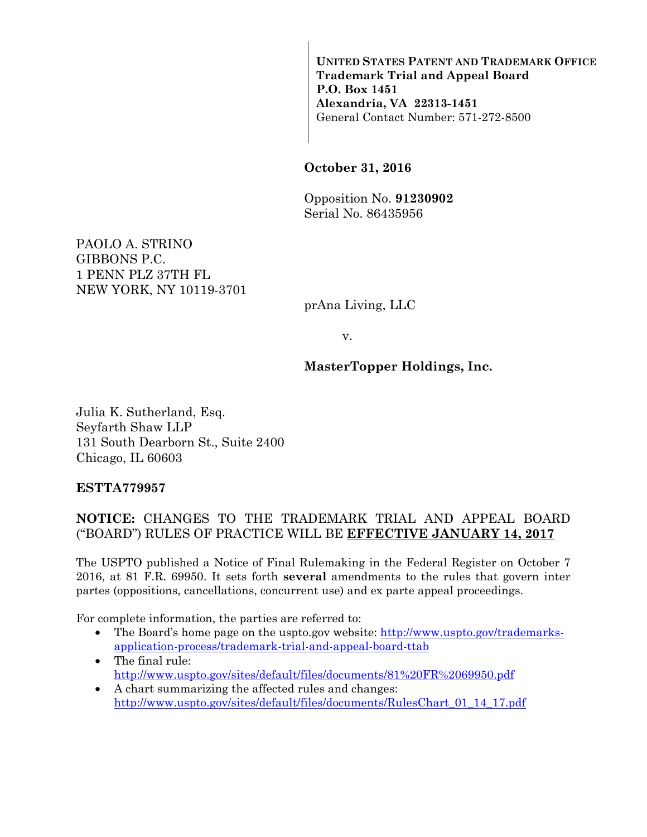**UNITED STATES PATENT AND TRADEMARK OFFICE Trademark Trial and Appeal Board P.O. Box 1451 Alexandria, VA 22313-1451**  General Contact Number: 571-272-8500

#### **October 31, 2016**

Opposition No. **91230902** Serial No. 86435956

PAOLO A. STRINO GIBBONS P.C. 1 PENN PLZ 37TH FL NEW YORK, NY 10119-3701

prAna Living, LLC

v.

#### **MasterTopper Holdings, Inc.**

Julia K. Sutherland, Esq. Seyfarth Shaw LLP 131 South Dearborn St., Suite 2400 Chicago, IL 60603

#### **ESTTA779957**

### **NOTICE:** CHANGES TO THE TRADEMARK TRIAL AND APPEAL BOARD ("BOARD") RULES OF PRACTICE WILL BE **EFFECTIVE JANUARY 14, 2017**

The USPTO published a Notice of Final Rulemaking in the Federal Register on October 7 2016, at 81 F.R. 69950. It sets forth **several** amendments to the rules that govern inter partes (oppositions, cancellations, concurrent use) and ex parte appeal proceedings.

For complete information, the parties are referred to:

- The Board's home page on the uspto.gov website: http://www.uspto.gov/trademarksapplication-process/trademark-trial-and-appeal-board-ttab
- The final rule: http://www.uspto.gov/sites/default/files/documents/81%20FR%2069950.pdf
- A chart summarizing the affected rules and changes: http://www.uspto.gov/sites/default/files/documents/RulesChart\_01\_14\_17.pdf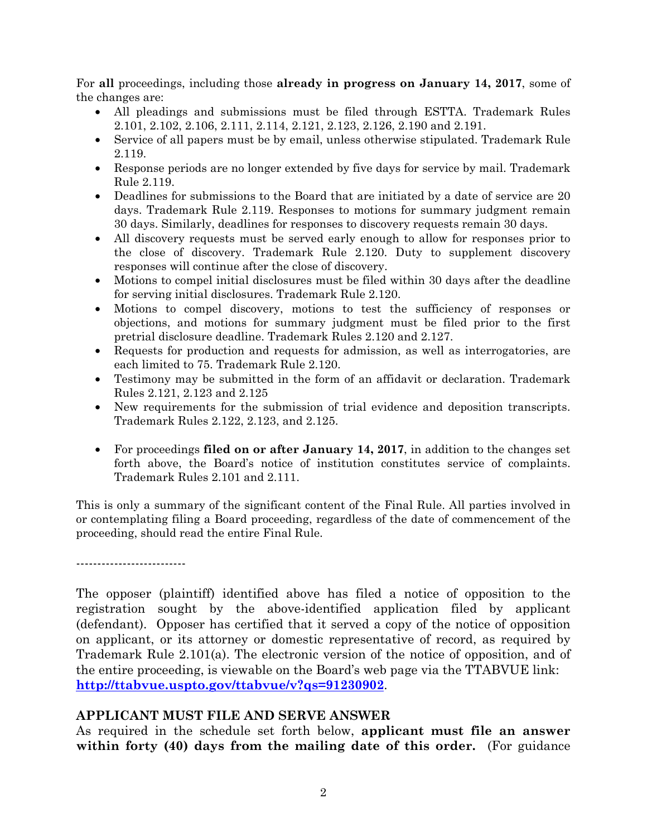For **all** proceedings, including those **already in progress on January 14, 2017**, some of the changes are:

- All pleadings and submissions must be filed through ESTTA. Trademark Rules 2.101, 2.102, 2.106, 2.111, 2.114, 2.121, 2.123, 2.126, 2.190 and 2.191.
- Service of all papers must be by email, unless otherwise stipulated. Trademark Rule 2.119.
- Response periods are no longer extended by five days for service by mail. Trademark Rule 2.119.
- Deadlines for submissions to the Board that are initiated by a date of service are 20 days. Trademark Rule 2.119. Responses to motions for summary judgment remain 30 days. Similarly, deadlines for responses to discovery requests remain 30 days.
- All discovery requests must be served early enough to allow for responses prior to the close of discovery. Trademark Rule 2.120. Duty to supplement discovery responses will continue after the close of discovery.
- Motions to compel initial disclosures must be filed within 30 days after the deadline for serving initial disclosures. Trademark Rule 2.120.
- Motions to compel discovery, motions to test the sufficiency of responses or objections, and motions for summary judgment must be filed prior to the first pretrial disclosure deadline. Trademark Rules 2.120 and 2.127.
- Requests for production and requests for admission, as well as interrogatories, are each limited to 75. Trademark Rule 2.120.
- Testimony may be submitted in the form of an affidavit or declaration. Trademark Rules 2.121, 2.123 and 2.125
- New requirements for the submission of trial evidence and deposition transcripts. Trademark Rules 2.122, 2.123, and 2.125.
- For proceedings **filed on or after January 14, 2017**, in addition to the changes set forth above, the Board's notice of institution constitutes service of complaints. Trademark Rules 2.101 and 2.111.

This is only a summary of the significant content of the Final Rule. All parties involved in or contemplating filing a Board proceeding, regardless of the date of commencement of the proceeding, should read the entire Final Rule.

--------------------------

The opposer (plaintiff) identified above has filed a notice of opposition to the registration sought by the above-identified application filed by applicant (defendant). Opposer has certified that it served a copy of the notice of opposition on applicant, or its attorney or domestic representative of record, as required by Trademark Rule 2.101(a). The electronic version of the notice of opposition, and of the entire proceeding, is viewable on the Board's web page via the TTABVUE link: **http://ttabvue.uspto.gov/ttabvue/v?qs=91230902**.

# **APPLICANT MUST FILE AND SERVE ANSWER**

As required in the schedule set forth below, **applicant must file an answer within forty (40) days from the mailing date of this order.** (For guidance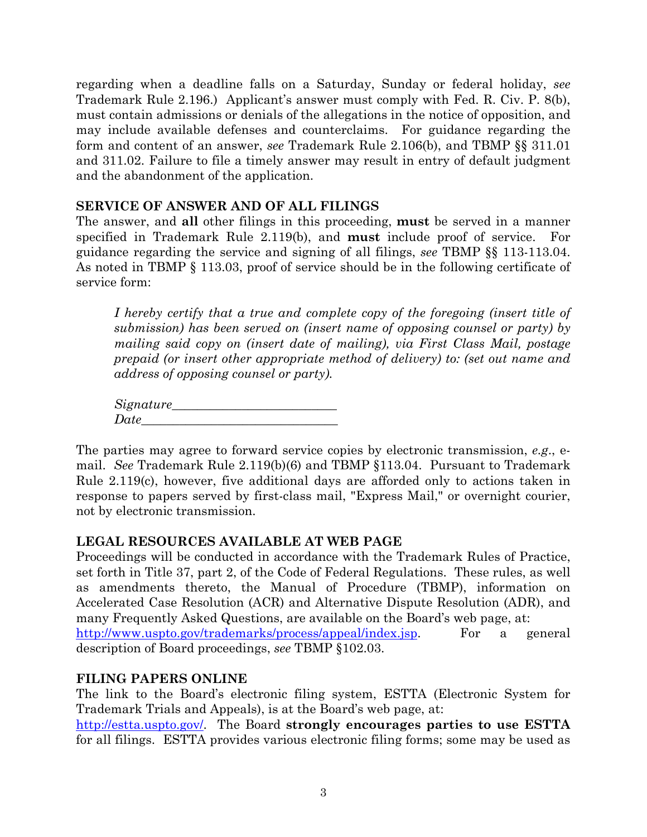regarding when a deadline falls on a Saturday, Sunday or federal holiday, *see* Trademark Rule 2.196.) Applicant's answer must comply with Fed. R. Civ. P. 8(b), must contain admissions or denials of the allegations in the notice of opposition, and may include available defenses and counterclaims. For guidance regarding the form and content of an answer, *see* Trademark Rule 2.106(b), and TBMP §§ 311.01 and 311.02. Failure to file a timely answer may result in entry of default judgment and the abandonment of the application.

### **SERVICE OF ANSWER AND OF ALL FILINGS**

The answer, and **all** other filings in this proceeding, **must** be served in a manner specified in Trademark Rule 2.119(b), and **must** include proof of service. guidance regarding the service and signing of all filings, *see* TBMP §§ 113-113.04. As noted in TBMP § 113.03, proof of service should be in the following certificate of service form:

*I hereby certify that a true and complete copy of the foregoing (insert title of submission) has been served on (insert name of opposing counsel or party) by mailing said copy on (insert date of mailing), via First Class Mail, postage prepaid (or insert other appropriate method of delivery) to: (set out name and address of opposing counsel or party).* 

*Signature*  $Date$ 

The parties may agree to forward service copies by electronic transmission, *e.g*., email. *See* Trademark Rule 2.119(b)(6) and TBMP §113.04. Pursuant to Trademark Rule 2.119(c), however, five additional days are afforded only to actions taken in response to papers served by first-class mail, "Express Mail," or overnight courier, not by electronic transmission.

# **LEGAL RESOURCES AVAILABLE AT WEB PAGE**

Proceedings will be conducted in accordance with the Trademark Rules of Practice, set forth in Title 37, part 2, of the Code of Federal Regulations.These rules, as well as amendments thereto, the Manual of Procedure (TBMP), information on Accelerated Case Resolution (ACR) and Alternative Dispute Resolution (ADR), and many Frequently Asked Questions, are available on the Board's web page, at: http://www.uspto.gov/trademarks/process/appeal/index.jsp. For a general description of Board proceedings, *see* TBMP §102.03.

# **FILING PAPERS ONLINE**

The link to the Board's electronic filing system, ESTTA (Electronic System for Trademark Trials and Appeals), is at the Board's web page, at:

http://estta.uspto.gov/. The Board **strongly encourages parties to use ESTTA** for all filings. ESTTA provides various electronic filing forms; some may be used as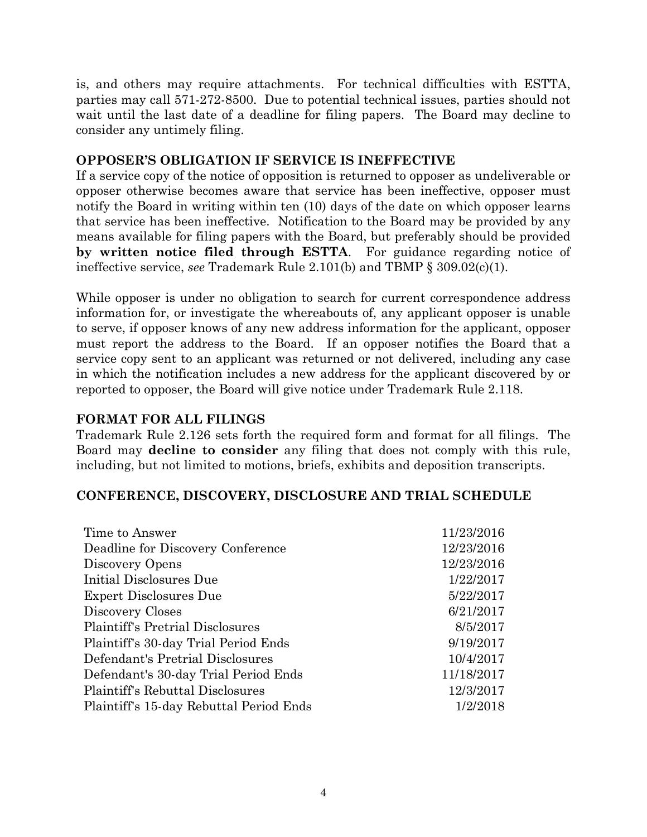is, and others may require attachments. For technical difficulties with ESTTA, parties may call 571-272-8500. Due to potential technical issues, parties should not wait until the last date of a deadline for filing papers. The Board may decline to consider any untimely filing.

### **OPPOSER'S OBLIGATION IF SERVICE IS INEFFECTIVE**

If a service copy of the notice of opposition is returned to opposer as undeliverable or opposer otherwise becomes aware that service has been ineffective, opposer must notify the Board in writing within ten (10) days of the date on which opposer learns that service has been ineffective. Notification to the Board may be provided by any means available for filing papers with the Board, but preferably should be provided **by written notice filed through ESTTA**. For guidance regarding notice of ineffective service, *see* Trademark Rule 2.101(b) and TBMP § 309.02(c)(1).

While opposer is under no obligation to search for current correspondence address information for, or investigate the whereabouts of, any applicant opposer is unable to serve, if opposer knows of any new address information for the applicant, opposer must report the address to the Board. If an opposer notifies the Board that a service copy sent to an applicant was returned or not delivered, including any case in which the notification includes a new address for the applicant discovered by or reported to opposer, the Board will give notice under Trademark Rule 2.118.

## **FORMAT FOR ALL FILINGS**

Trademark Rule 2.126 sets forth the required form and format for all filings. The Board may **decline to consider** any filing that does not comply with this rule, including, but not limited to motions, briefs, exhibits and deposition transcripts.

### **CONFERENCE, DISCOVERY, DISCLOSURE AND TRIAL SCHEDULE**

| Time to Answer                          | 11/23/2016 |
|-----------------------------------------|------------|
| Deadline for Discovery Conference       | 12/23/2016 |
| Discovery Opens                         | 12/23/2016 |
| Initial Disclosures Due                 | 1/22/2017  |
| Expert Disclosures Due                  | 5/22/2017  |
| Discovery Closes                        | 6/21/2017  |
| <b>Plaintiff's Pretrial Disclosures</b> | 8/5/2017   |
| Plaintiff's 30-day Trial Period Ends    | 9/19/2017  |
| Defendant's Pretrial Disclosures        | 10/4/2017  |
| Defendant's 30-day Trial Period Ends    | 11/18/2017 |
| <b>Plaintiff's Rebuttal Disclosures</b> | 12/3/2017  |
| Plaintiff's 15-day Rebuttal Period Ends | 1/2/2018   |
|                                         |            |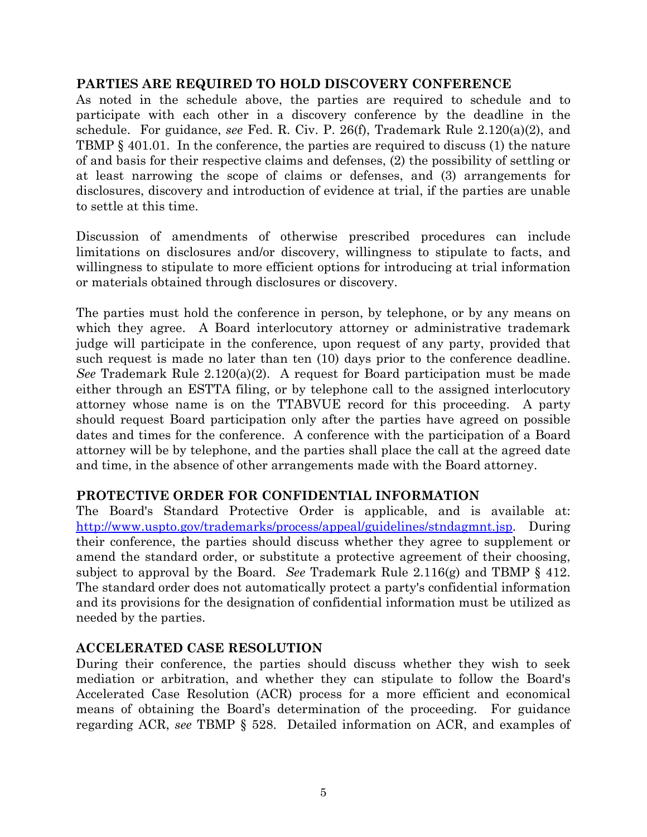### **PARTIES ARE REQUIRED TO HOLD DISCOVERY CONFERENCE**

As noted in the schedule above, the parties are required to schedule and to participate with each other in a discovery conference by the deadline in the schedule. For guidance, *see* Fed. R. Civ. P. 26(f), Trademark Rule 2.120(a)(2), and TBMP § 401.01. In the conference, the parties are required to discuss (1) the nature of and basis for their respective claims and defenses, (2) the possibility of settling or at least narrowing the scope of claims or defenses, and (3) arrangements for disclosures, discovery and introduction of evidence at trial, if the parties are unable to settle at this time.

Discussion of amendments of otherwise prescribed procedures can include limitations on disclosures and/or discovery, willingness to stipulate to facts, and willingness to stipulate to more efficient options for introducing at trial information or materials obtained through disclosures or discovery.

The parties must hold the conference in person, by telephone, or by any means on which they agree. A Board interlocutory attorney or administrative trademark judge will participate in the conference, upon request of any party, provided that such request is made no later than ten (10) days prior to the conference deadline. *See* Trademark Rule 2.120(a)(2). A request for Board participation must be made either through an ESTTA filing, or by telephone call to the assigned interlocutory attorney whose name is on the TTABVUE record for this proceeding. A party should request Board participation only after the parties have agreed on possible dates and times for the conference. A conference with the participation of a Board attorney will be by telephone, and the parties shall place the call at the agreed date and time, in the absence of other arrangements made with the Board attorney.

# **PROTECTIVE ORDER FOR CONFIDENTIAL INFORMATION**

The Board's Standard Protective Order is applicable, and is available at: http://www.uspto.gov/trademarks/process/appeal/guidelines/stndagmnt.jsp. During their conference, the parties should discuss whether they agree to supplement or amend the standard order, or substitute a protective agreement of their choosing, subject to approval by the Board. *See* Trademark Rule 2.116(g) and TBMP § 412. The standard order does not automatically protect a party's confidential information and its provisions for the designation of confidential information must be utilized as needed by the parties.

### **ACCELERATED CASE RESOLUTION**

During their conference, the parties should discuss whether they wish to seek mediation or arbitration, and whether they can stipulate to follow the Board's Accelerated Case Resolution (ACR) process for a more efficient and economical means of obtaining the Board's determination of the proceeding. For guidance regarding ACR, *see* TBMP § 528. Detailed information on ACR, and examples of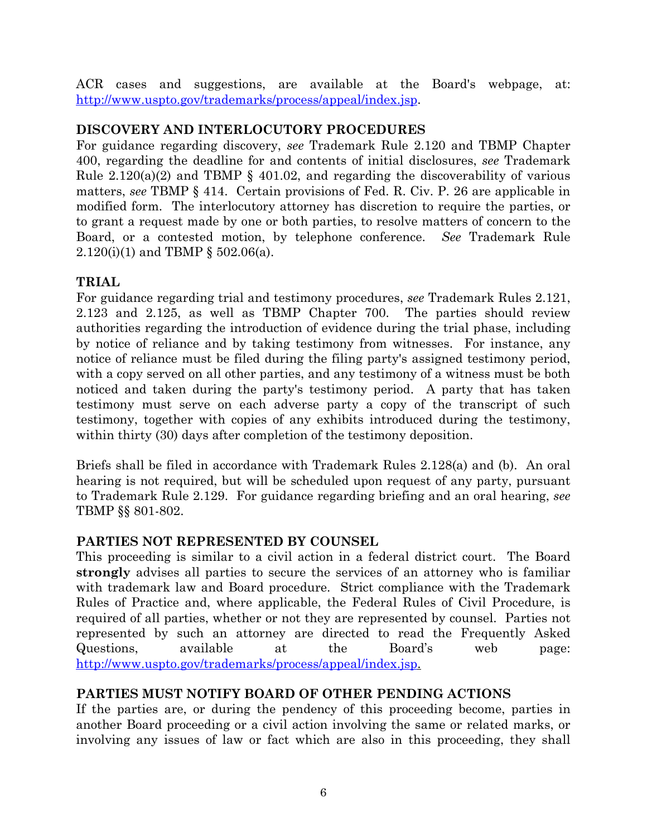ACR cases and suggestions, are available at the Board's webpage, at: http://www.uspto.gov/trademarks/process/appeal/index.jsp.

# **DISCOVERY AND INTERLOCUTORY PROCEDURES**

For guidance regarding discovery, *see* Trademark Rule 2.120 and TBMP Chapter 400, regarding the deadline for and contents of initial disclosures, *see* Trademark Rule  $2.120(a)(2)$  and TBMP § 401.02, and regarding the discoverability of various matters, *see* TBMP § 414. Certain provisions of Fed. R. Civ. P. 26 are applicable in modified form. The interlocutory attorney has discretion to require the parties, or to grant a request made by one or both parties, to resolve matters of concern to the Board, or a contested motion, by telephone conference. *See* Trademark Rule 2.120(i)(1) and TBMP § 502.06(a).

# **TRIAL**

For guidance regarding trial and testimony procedures, *see* Trademark Rules 2.121, 2.123 and 2.125, as well as TBMP Chapter 700. The parties should review authorities regarding the introduction of evidence during the trial phase, including by notice of reliance and by taking testimony from witnesses. For instance, any notice of reliance must be filed during the filing party's assigned testimony period, with a copy served on all other parties, and any testimony of a witness must be both noticed and taken during the party's testimony period. A party that has taken testimony must serve on each adverse party a copy of the transcript of such testimony, together with copies of any exhibits introduced during the testimony, within thirty (30) days after completion of the testimony deposition.

Briefs shall be filed in accordance with Trademark Rules 2.128(a) and (b). An oral hearing is not required, but will be scheduled upon request of any party, pursuant to Trademark Rule 2.129. For guidance regarding briefing and an oral hearing, *see* TBMP §§ 801-802.

# **PARTIES NOT REPRESENTED BY COUNSEL**

This proceeding is similar to a civil action in a federal district court.The Board **strongly** advises all parties to secure the services of an attorney who is familiar with trademark law and Board procedure. Strict compliance with the Trademark Rules of Practice and, where applicable, the Federal Rules of Civil Procedure, is required of all parties, whether or not they are represented by counsel. Parties not represented by such an attorney are directed to read the Frequently Asked Questions, available at the Board's web page: http://www.uspto.gov/trademarks/process/appeal/index.jsp.

# **PARTIES MUST NOTIFY BOARD OF OTHER PENDING ACTIONS**

If the parties are, or during the pendency of this proceeding become, parties in another Board proceeding or a civil action involving the same or related marks, or involving any issues of law or fact which are also in this proceeding, they shall